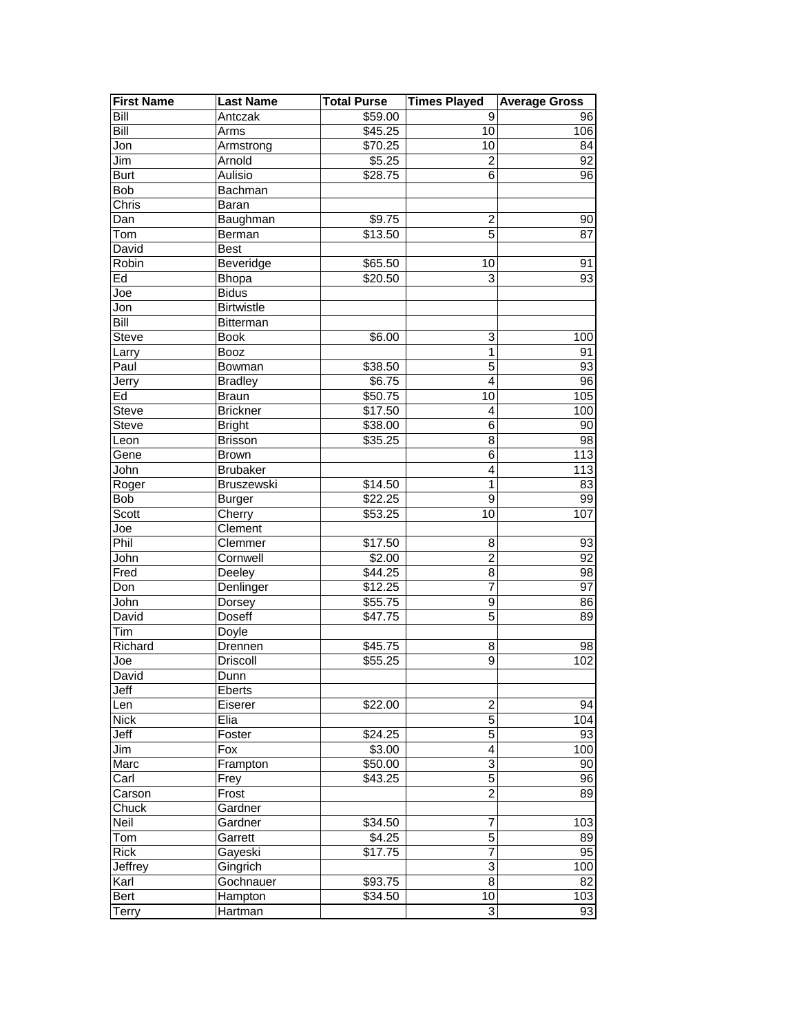| <b>First Name</b> | <b>Last Name</b>  | <b>Total Purse</b>  | <b>Times Played</b> | <b>Average Gross</b> |
|-------------------|-------------------|---------------------|---------------------|----------------------|
| Bill              | Antczak           | \$59.00             | 9                   | 96                   |
| Bill              | Arms              | \$45.25             | 10                  | 106                  |
| Jon               | Armstrong         | \$70.25             | 10                  | 84                   |
| Jim               | Arnold            | \$5.25              | $\overline{c}$      | 92                   |
| <b>Burt</b>       | Aulisio           | \$28.75             | 6                   | 96                   |
| <b>Bob</b>        | Bachman           |                     |                     |                      |
| Chris             | Baran             |                     |                     |                      |
| Dan               | Baughman          | \$9.75              | $\boldsymbol{2}$    | 90                   |
| Tom               | Berman            | $\overline{$}13.50$ | $\overline{5}$      | 87                   |
| David             | <b>Best</b>       |                     |                     |                      |
| Robin             | Beveridge         | \$65.50             | 10                  | 91                   |
| Ed                | <b>Bhopa</b>      | \$20.50             | 3                   | 93                   |
| Joe               | <b>Bidus</b>      |                     |                     |                      |
| Jon               | <b>Birtwistle</b> |                     |                     |                      |
| Bill              | Bitterman         |                     |                     |                      |
| Steve             | <b>Book</b>       | \$6.00              | 3                   | 100                  |
| Larry             | <b>Booz</b>       |                     | $\mathbf 1$         | 91                   |
| Paul              | Bowman            | \$38.50             | 5                   | 93                   |
| Jerry             | <b>Bradley</b>    | $\overline{$}6.75$  | $\overline{4}$      | 96                   |
| Ed                | <b>Braun</b>      | \$50.75             | 10                  | 105                  |
| Steve             | <b>Brickner</b>   | \$17.50             | 4                   | 100                  |
| Steve             | <b>Bright</b>     | \$38.00             | $\,6$               | 90                   |
| Leon              | <b>Brisson</b>    | \$35.25             | 8                   | 98                   |
| Gene              | <b>Brown</b>      |                     | 6                   | 113                  |
| John              | <b>Brubaker</b>   |                     | 4                   | 113                  |
| Roger             | Bruszewski        | \$14.50             | $\mathbf{1}$        | 83                   |
| Bob               | <b>Burger</b>     | \$22.25             | $\overline{9}$      | 99                   |
| Scott             | Cherry            | \$53.25             | 10                  | 107                  |
| Joe               | Clement           |                     |                     |                      |
| Phil              | Clemmer           | \$17.50             | 8                   | 93                   |
| John              | Cornwell          | $\sqrt{$2.00}$      | $\overline{c}$      | 92                   |
| Fred              | Deeley            | \$44.25             | 8                   | 98                   |
| Don               | Denlinger         | \$12.25             | 7                   | 97                   |
| John              | Dorsey            | \$55.75             | 9                   | 86                   |
| David             | Doseff            | \$47.75             | $\overline{5}$      | 89                   |
| Tim               | Doyle             |                     |                     |                      |
| Richard           | Drennen           | \$45.75             | 8                   | 98                   |
| Joe               | <b>Driscoll</b>   | \$55.25             | 9                   | 102                  |
| David             | Dunn              |                     |                     |                      |
| Jeff              | Eberts            |                     |                     |                      |
| Len               | Eiserer           | \$22.00             | 2                   | 94                   |
| <b>Nick</b>       | Elia              |                     | 5                   | 104                  |
| Jeff              | Foster            | \$24.25             | $\overline{5}$      | 93                   |
| Jim               | Fox               | \$3.00              | $\overline{4}$      | 100                  |
| Marc              | Frampton          | \$50.00             | 3                   | 90                   |
| Carl              | Frey              | $\overline{$}43.25$ | $\mathbf 5$         | 96                   |
| Carson            | Frost             |                     | $\overline{c}$      | 89                   |
| Chuck             | Gardner           |                     |                     |                      |
| Neil              | Gardner           | \$34.50             | 7                   | 103                  |
| Tom               | Garrett           | \$4.25              | 5                   | 89                   |
| <b>Rick</b>       | Gayeski           | \$17.75             | $\overline{7}$      | 95                   |
| Jeffrey           | Gingrich          |                     | $\overline{3}$      | 100                  |
| Karl              | Gochnauer         | \$93.75             | $\overline{8}$      | 82                   |
| Bert              | Hampton           | \$34.50             | 10                  | 103                  |
| Terry             | Hartman           |                     | 3                   | 93                   |
|                   |                   |                     |                     |                      |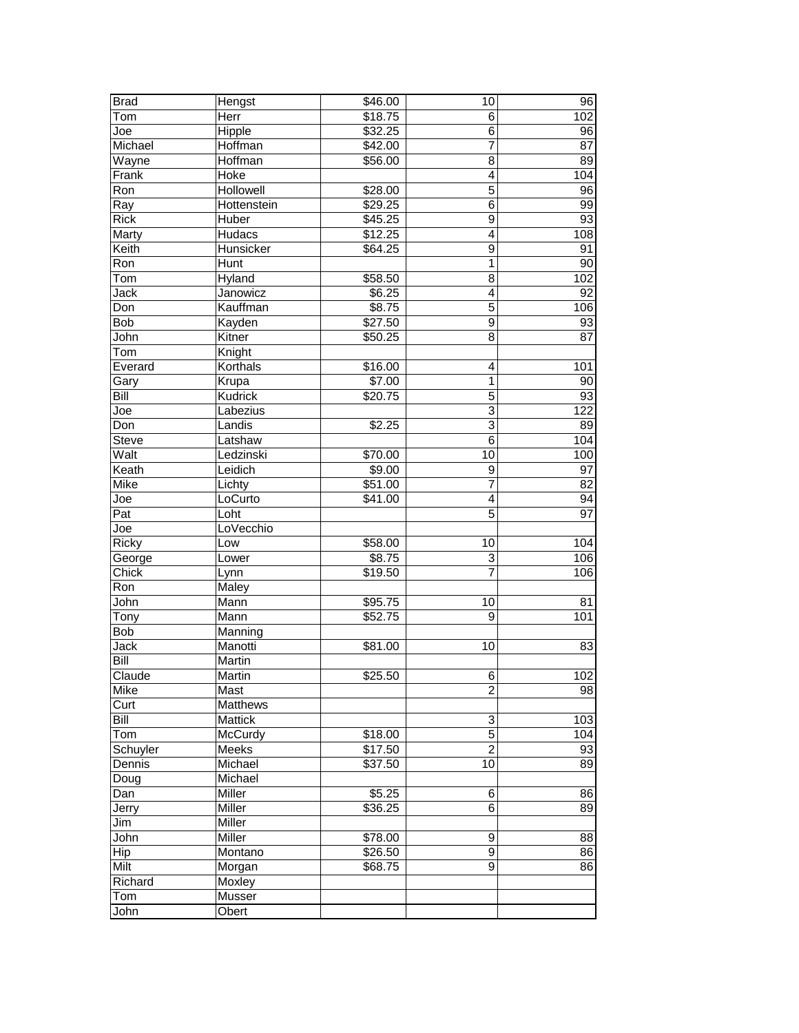| <b>Brad</b>  | Hengst      | $\overline{$}46.00$ | 10                        | 96  |
|--------------|-------------|---------------------|---------------------------|-----|
| Tom          | Herr        | \$18.75             | 6                         | 102 |
| Joe          | Hipple      | \$32.25             | 6                         | 96  |
| Michael      | Hoffman     | $\sqrt{42.00}$      | $\overline{7}$            | 87  |
| Wayne        | Hoffman     | \$56.00             | 8                         | 89  |
| Frank        | Hoke        |                     | 4                         | 104 |
| Ron          | Hollowell   | \$28.00             | 5                         | 96  |
| Ray          | Hottenstein | \$29.25             | $\,6$                     | 99  |
| <b>Rick</b>  | Huber       | \$45.25             | $\overline{9}$            | 93  |
| Marty        | Hudacs      | \$12.25             | $\overline{4}$            | 108 |
| Keith        | Hunsicker   | \$64.25             | 9                         | 91  |
| Ron          | Hunt        |                     | $\mathbf{1}$              | 90  |
| Tom          | Hyland      | \$58.50             | 8                         | 102 |
| Jack         | Janowicz    | \$6.25              | $\overline{\mathbf{4}}$   | 92  |
| Don          | Kauffman    | \$8.75              | 5                         | 106 |
| Bob          | Kayden      | \$27.50             | $\boldsymbol{9}$          | 93  |
| John         | Kitner      | \$50.25             | 8                         | 87  |
| Tom          | Knight      |                     |                           |     |
| Everard      | Korthals    | \$16.00             | 4                         | 101 |
| Gary         | Krupa       | \$7.00              | 1                         | 90  |
| Bill         | Kudrick     | \$20.75             | 5                         | 93  |
| Joe          | Labezius    |                     | $\overline{3}$            | 122 |
| Don          | Landis      | \$2.25              | 3                         | 89  |
| <b>Steve</b> | Latshaw     |                     | 6                         | 104 |
| Walt         | Ledzinski   | \$70.00             | 10                        | 100 |
| Keath        | Leidich     | \$9.00              | $\boldsymbol{9}$          | 97  |
| Mike         | Lichty      | \$51.00             | $\overline{7}$            | 82  |
| Joe          | LoCurto     | $\overline{$41.00}$ | 4                         | 94  |
| Pat          | Loht        |                     | 5                         | 97  |
| Joe          | LoVecchio   |                     |                           |     |
| Ricky        | Low         | \$58.00             | 10                        | 104 |
| George       | Lower       | $\overline{$8.75}$  | $\ensuremath{\mathsf{3}}$ | 106 |
| Chick        | Lynn        | \$19.50             | 7                         | 106 |
| Ron          | Maley       |                     |                           |     |
| John         | Mann        | \$95.75             | 10                        | 81  |
| Tony         | Mann        | \$52.75             | 9                         | 101 |
| Bob          | Manning     |                     |                           |     |
| Jack         | Manotti     | \$81.00             | 10                        | 83  |
| Bill         | Martin      |                     |                           |     |
| Claude       | Martin      | \$25.50             | 6                         | 102 |
| Mike         | Mast        |                     | $\overline{c}$            | 98  |
| Curt         | Matthews    |                     |                           |     |
| Bill         | Mattick     |                     | $\ensuremath{\mathsf{3}}$ | 103 |
| Tom          | McCurdy     | \$18.00             | $\overline{5}$            | 104 |
| Schuyler     | Meeks       | \$17.50             | $\overline{2}$            | 93  |
| Dennis       | Michael     | \$37.50             | 10                        | 89  |
| Doug         | Michael     |                     |                           |     |
| Dan          | Miller      | \$5.25              | 6                         | 86  |
| Jerry        | Miller      | \$36.25             | 6                         | 89  |
| Jim          | Miller      |                     |                           |     |
| John         | Miller      | \$78.00             | 9                         | 88  |
| Hip          | Montano     | \$26.50             | 9                         | 86  |
| Milt         | Morgan      | \$68.75             | 9                         | 86  |
| Richard      | Moxley      |                     |                           |     |
| Tom          | Musser      |                     |                           |     |
| John         | Obert       |                     |                           |     |
|              |             |                     |                           |     |